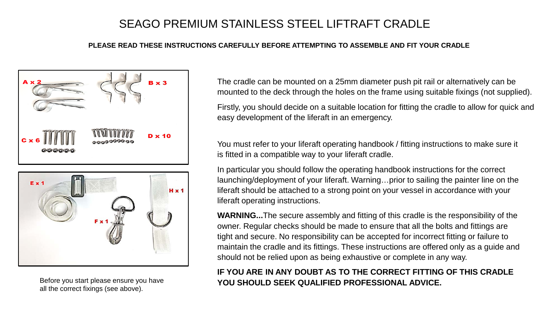## SEAGO PREMIUM STAINLESS STEEL LIFTRAFT CRADLE

## **PLEASE READ THESE INSTRUCTIONS CAREFULLY BEFORE ATTEMPTING TO ASSEMBLE AND FIT YOUR CRADLE**





all the correct fixings (see above).

The cradle can be mounted on a 25mm diameter push pit rail or alternatively can be mounted to the deck through the holes on the frame using suitable fixings (not supplied).

Firstly, you should decide on a suitable location for fitting the cradle to allow for quick and easy development of the liferaft in an emergency.

You must refer to your liferaft operating handbook / fitting instructions to make sure it is fitted in a compatible way to your liferaft cradle.

In particular you should follow the operating handbook instructions for the correct launching/deployment of your liferaft. Warning…prior to sailing the painter line on the liferaft should be attached to a strong point on your vessel in accordance with your liferaft operating instructions.

**WARNING...**The secure assembly and fitting of this cradle is the responsibility of the owner. Regular checks should be made to ensure that all the bolts and fittings are tight and secure. No responsibility can be accepted for incorrect fitting or failure to maintain the cradle and its fittings. These instructions are offered only as a guide and should not be relied upon as being exhaustive or complete in any way.

## **IF YOU ARE IN ANY DOUBT AS TO THE CORRECT FITTING OF THIS CRADLE YOU SHOULD SEEK QUALIFIED PROFESSIONAL ADVICE.** Before you start please ensure you have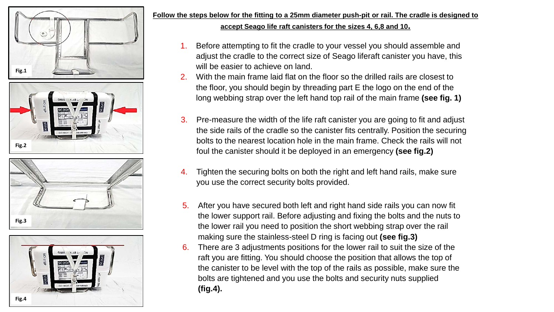







**Follow the steps below for the fitting to a 25mm diameter push-pit or rail. The cradle is designed to accept Seago life raft canisters for the sizes 4, 6,8 and 10.**

- 1. Before attempting to fit the cradle to your vessel you should assemble and adjust the cradle to the correct size of Seago liferaft canister you have, this will be easier to achieve on land.
- 2. With the main frame laid flat on the floor so the drilled rails are closest to the floor, you should begin by threading part E the logo on the end of the long webbing strap over the left hand top rail of the main frame **(see fig. 1)**
- 3. Pre-measure the width of the life raft canister you are going to fit and adjust the side rails of the cradle so the canister fits centrally. Position the securing bolts to the nearest location hole in the main frame. Check the rails will not foul the canister should it be deployed in an emergency **(see fig.2)**
- 4. Tighten the securing bolts on both the right and left hand rails, make sure you use the correct security bolts provided.
- 5. After you have secured both left and right hand side rails you can now fit the lower support rail. Before adjusting and fixing the bolts and the nuts to the lower rail you need to position the short webbing strap over the rail making sure the stainless-steel D ring is facing out **(see fig.3)**
- 6. There are 3 adjustments positions for the lower rail to suit the size of the raft you are fitting. You should choose the position that allows the top of the canister to be level with the top of the rails as possible, make sure the bolts are tightened and you use the bolts and security nuts supplied **(fig.4).**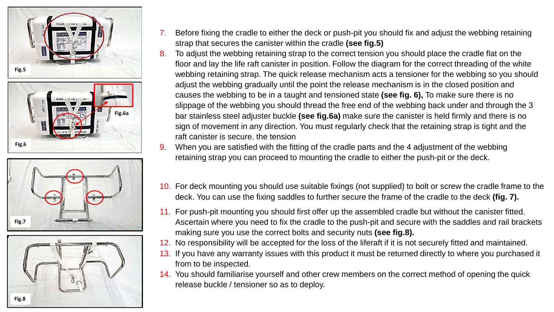







- 7. Before fixing the cradle to either the deck or push-pit you should fix and adjust the webbing retaining strap that secures the canister within the cradle **(see fig.5)**
- 8. To adjust the webbing retaining strap to the correct tension you should place the cradle flat on the floor and lay the life raft canister in position. Follow the diagram for the correct threading of the white webbing retaining strap. The quick release mechanism acts a tensioner for the webbing so you should adjust the webbing gradually until the point the release mechanism is in the closed position and causes the webbing to be in a taught and tensioned state **(see fig. 6),** To make sure there is no slippage of the webbing you should thread the free end of the webbing back under and through the 3 bar stainless steel adjuster buckle **(see fig.6a)** make sure the canister is held firmly and there is no sign of movement in any direction. You must regularly check that the retaining strap is tight and the raft canister is secure. the tension
- 9. When you are satisfied with the fitting of the cradle parts and the 4 adjustment of the webbing retaining strap you can proceed to mounting the cradle to either the push-pit or the deck.
- 10. For deck mounting you should use suitable fixings (not supplied) to bolt or screw the cradle frame to the deck. You can use the fixing saddles to further secure the frame of the cradle to the deck **(fig. 7).**
- 11. For push-pit mounting you should first offer up the assembled cradle but without the canister fitted. Ascertain where you need to fix the cradle to the push-pit and secure with the saddles and rail brackets making sure you use the correct bolts and security nuts **(see fig.8).**
- 12. No responsibility will be accepted for the loss of the liferaft if it is not securely fitted and maintained.
- 13. If you have any warranty issues with this product it must be returned directly to where you purchased it from to be inspected.
- 14. You should familiarise yourself and other crew members on the correct method of opening the quick release buckle / tensioner so as to deploy.